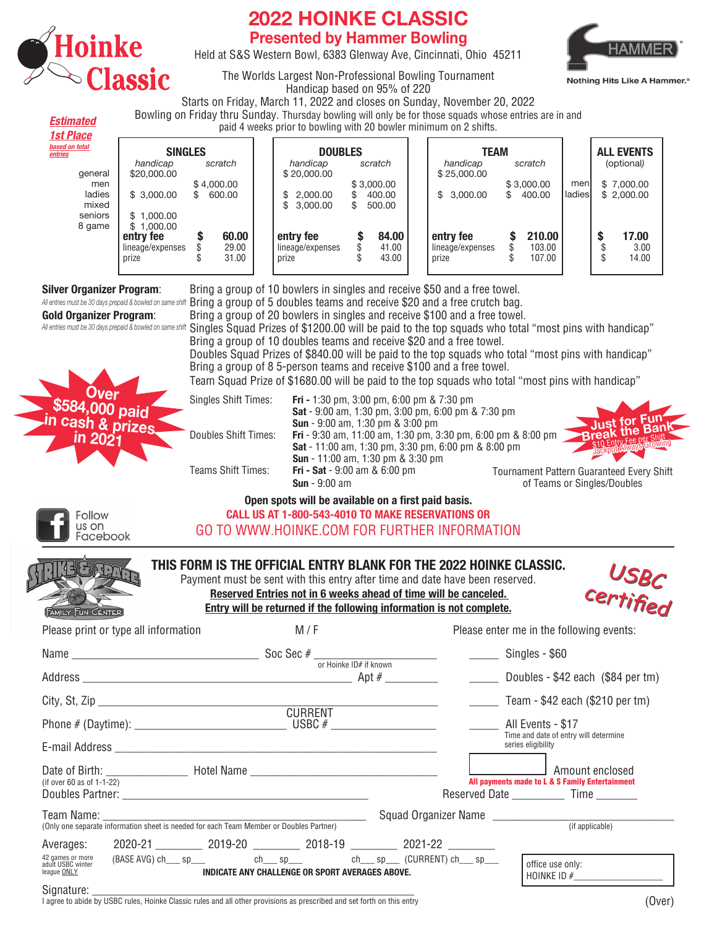

CINCINNATI, OHIO

**Estimated**

## **2022 HOINKE CLASSIC Presented by Hammer Bowling**

Held at S&S Western Bowl, 6383 Glenway Ave, Cincinnati, Ohio 45211



The Worlds Largest Non-Professional Bowling Tournament Handicap based on 95% of 220

Starts on Friday, March 11, 2022 and closes on Sunday, November 20, 2022 Bowling on Friday thru Sunday. Thursday bowling will only be for those squads whose entries are in and

paid 4 weeks prior to bowling with 20 bowler minimum on 2 shifts.

| <b>1st Place</b>          | $p$ paid $\pm$ weeks prior to bowling with $\epsilon$ o bowler millimitatif on $\epsilon$ shifts. |                  |                         |                    |                         |    |                         |  |                                        |    |                            |               |                          |
|---------------------------|---------------------------------------------------------------------------------------------------|------------------|-------------------------|--------------------|-------------------------|----|-------------------------|--|----------------------------------------|----|----------------------------|---------------|--------------------------|
| based on total<br>entries | <b>SINGLES</b>                                                                                    |                  |                         |                    | <b>DOUBLES</b>          |    |                         |  | <b>TEAM</b>                            |    |                            |               | <b>ALL EVENTS</b>        |
| general                   | handicap<br>\$20,000.00                                                                           |                  | scratch                 |                    | handicap<br>\$20,000.00 |    | scratch                 |  | handicap<br>\$25,000.00                |    | scratch                    |               | (optional)               |
| men<br>ladies             | \$3.000.00                                                                                        | \$4,000.00<br>£. | 600.00                  | \$                 | 2.000.00                |    | \$3,000.00<br>400.00    |  | \$3,000.00                             | \$ | \$3,000.00<br>400.00       | men<br>ladies | \$7,000.00<br>\$2,000.00 |
| mixed                     |                                                                                                   |                  |                         | \$                 | 3,000.00                | \$ | 500.00                  |  |                                        |    |                            |               |                          |
| seniors<br>8 game         | \$1.000.00<br>\$1.000.00                                                                          |                  |                         |                    |                         |    |                         |  |                                        |    |                            |               |                          |
|                           | entry fee<br>lineage/expenses<br>prize                                                            |                  | 60.00<br>29.00<br>31.00 | entry fee<br>prize | lineage/expenses        |    | 84.00<br>41.00<br>43.00 |  | entry fee<br>lineage/expenses<br>prize | æ  | 210.00<br>103.00<br>107.00 |               | 17.00<br>3.00<br>14.00   |

**Silver Organizer Program**: Bring a group of 10 bowlers in singles and receive \$50 and a free towel. All entries must be 30 days prepaid & bowled on same shift **Bring a group of 5 doubles teams and receive \$20 and a free crutch bag. Gold Organizer Program**: Bring a group of 20 bowlers in singles and receive \$100 and a free towel. Singles Squad Prizes of \$1200.00 will be paid to the top squads who total "most pins with handicap" *All entries must be 30 days prepaid & bowled on same shift* Bring a group of 10 doubles teams and receive \$20 and a free towel. Doubles Squad Prizes of \$840.00 will be paid to the top squads who total "most pins with handicap" Bring a group of 8 5-person teams and receive \$100 and a free towel. Team Squad Prize of \$1680.00 will be paid to the top squads who total "most pins with handicap" Singles Shift Times: **Fri -** 1:30 pm, 3:00 pm, 6:00 pm & 7:30 pm **Over \$584,000 paid Sat** - 9:00 am, 1:30 pm, 3:00 pm, 6:00 pm & 7:30 pm **Just for Fun i**cash & prize **Sun** - 9:00 am, 1:30 pm & 3:00 pm **Break the Bank**<br>**Break the Bank**<br>**Fig.Entry Fee per Shift** Doubles Shift Times: **Fri** - 9:30 am, 11:00 am, 1:30 pm, 3:30 pm, 6:00 pm & 8:00 pm **Sat** - 11:00 am, 1:30 pm, 3:30 pm, 6:00 pm & 8:00 pm \$10 Entry Fee Scrowing **Sun** - 11:00 am, 1:30 pm & 3:30 pm Teams Shift Times: **Fri - Sat** - 9:00 am & 6:00 pm Tournament Pattern Guaranteed Every Shift **Sun** - 9:00 am of Teams or Singles/Doubles **Open spots will be available on a first paid basis. CALL US AT 1-800-543-4010 TO MAKE RESERVATIONS OR Follow** us on GO TO WWW.HOINKE.COM FOR FURTHER INFORMATION Facebook

| <b>FAMILY FUN CENTER</b>                                                                                                                        | THIS FORM IS THE OFFICIAL ENTRY BLANK FOR THE 2022 HOINKE CLASSIC.<br>Payment must be sent with this entry after time and date have been reserved.<br>Reserved Entries not in 6 weeks ahead of time will be canceled.<br>Entry will be returned if the following information is not complete. |                                                                                                                      | USBC<br>certified                                                                                            |
|-------------------------------------------------------------------------------------------------------------------------------------------------|-----------------------------------------------------------------------------------------------------------------------------------------------------------------------------------------------------------------------------------------------------------------------------------------------|----------------------------------------------------------------------------------------------------------------------|--------------------------------------------------------------------------------------------------------------|
| Please print or type all information                                                                                                            | M/F                                                                                                                                                                                                                                                                                           |                                                                                                                      | Please enter me in the following events:                                                                     |
|                                                                                                                                                 | Name $\frac{\phantom{+}}{2}$ Soc Sec # $\frac{\phantom{+}}{2}$ Soc Sec = $\frac{1}{2}$ Singles - \$60                                                                                                                                                                                         |                                                                                                                      |                                                                                                              |
|                                                                                                                                                 | <b>CURRENT</b>                                                                                                                                                                                                                                                                                | <u> 1980 - Jan Barbara Barat, prima prima prima prima prima prima prima prima prima prima prima prima prima prim</u> | $\frac{1}{2}$ Team - \$42 each (\$210 per tm)<br>Time and date of entry will determine<br>series eligibility |
| (if over 60 as of $1-1-22$ )<br>Team Name: ___________                                                                                          |                                                                                                                                                                                                                                                                                               | Squad Organizer Name                                                                                                 | Amount enclosed<br>All payments made to L & S Family Entertainment<br>Reserved Date Time                     |
| (Only one separate information sheet is needed for each Team Member or Doubles Partner)<br>42 games or more<br>adult USBC winter<br>league ONLY | Averages: 2020-21 2019-20 2019-20 2018-19 2021-22 2021-22<br>(BASE AVG) ch___ sp___ ch___ sp___ ch___ sp___ ch___ sp___ (CURRENT) ch___ sp___<br>INDICATE ANY CHALLENGE OR SPORT AVERAGES ABOVE.                                                                                              |                                                                                                                      | (if applicable)<br>office use only:<br>HOINKE ID $#$                                                         |

 $\operatorname{Signature:}\nolimits_{\!\!\!=\!\!\!=}$  and to the SDC rules, Hoinke Classic rules and all other provisions as prescribed and set forth on this entry